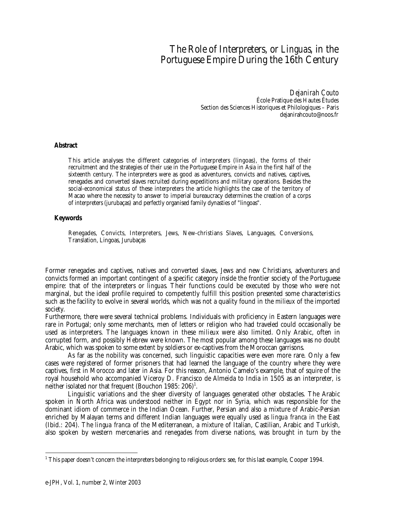## The Role of Interpreters, or *Linguas,* in the Portuguese Empire During the 16th Century

*Dejanirah Couto* École Pratique des Hautes Études Section des Sciences Historiques et Philologiques – Paris dejanirahcouto@noos.fr

## **Abstract**

This article analyses the different categories of interpreters (lingoas), the forms of their recruitment and the strategies of their use in the Portuguese Empire in Asia in the first half of the sixteenth century. The interpreters were as good as adventurers, convicts and natives, captives, renegades and converted slaves recruited during expeditions and military operations. Besides the social-economical status of these interpreters the article highlights the case of the territory of Macao where the necessity to answer to imperial bureaucracy determines the creation of a corps of interpreters (jurubaças) and perfectly organised family dynasties of "lingoas".

## **Keywords**

Renegades, Convicts, Interpreters, Jews, New-christians Slaves, Languages, Conversions, Translation, Lingoas, Jurubaças

Former renegades and captives, natives and converted slaves, Jews and new Christians, adventurers and convicts formed an important contingent of a specific category inside the frontier society of the Portuguese empire: that of the interpreters or *linguas.* Their functions could be executed by those who were not marginal, but the ideal profile required to competently fulfill this position presented some characteristics such as the facility to evolve in several worlds, which was not a quality found in the *milieux* of the imported society.

Furthermore, there were several technical problems. Individuals with proficiency in Eastern languages were rare in Portugal; only some merchants, men of letters or religion who had traveled could occasionally be used as interpreters. The languages known in these *milieux* were also limited. Only Arabic, often in corrupted form, and possibly Hebrew were known. The most popular among these languages was no doubt Arabic, which was spoken to some extent by soldiers or ex-captives from the Moroccan garrisons.

As far as the nobility was concerned, such linguistic capacities were even more rare. Only a few cases were registered of former prisoners that had learned the language of the country where they were captives, first in Morocco and later in Asia. For this reason, Antonio Camelo's example, that of squire of the royal household who accompanied Viceroy D. Francisco de Almeida to India in 1505 as an interpreter, is neither isolated nor that frequent (Bouchon 1985:  $206)^1$ .

Linguistic variations and the sheer diversity of languages generated other obstacles. The Arabic spoken in North Africa was understood neither in Egypt nor in Syria, which was responsible for the dominant idiom of commerce in the Indian Ocean. Further, Persian and also a mixture of Arabic-Persian enriched by Malayan terms and different Indian languages were equally used as *lingua franca* in the East (Ibid.: 204). The *lingua franca* of the Mediterranean, a mixture of Italian, Castilian, Arabic and Turkish, also spoken by western mercenaries and renegades from diverse nations, was brought in turn by the

 $\overline{a}$  $^{\rm 1}$  This paper doesn't concern the interpreters belonging to religious orders: see, for this last example, Cooper 1994.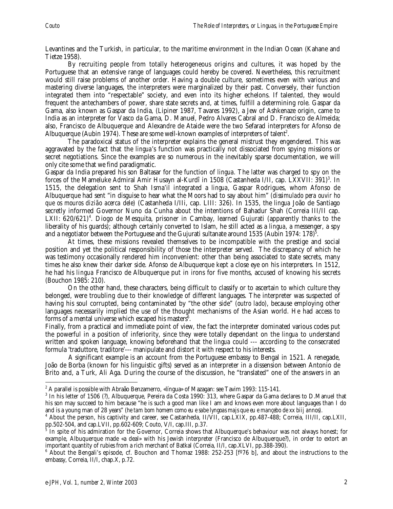Levantines and the Turkish, in particular, to the maritime environment in the Indian Ocean (Kahane and Tietze 1958).

By recruiting people from totally heterogeneous origins and cultures, it was hoped by the Portuguese that an extensive range of languages could hereby be covered. Nevertheless, this recruitment would still raise problems of another order. Having a double culture, sometimes even with various and mastering diverse languages, the interpreters were marginalized by their past. Conversely, their function integrated them into "respectable" society, and even into its higher echelons. If talented, they would frequent the antechambers of power, share state secrets and, at times, fulfill a determining role. Gaspar da Gama, also known as Gaspar da India, (Lipiner 1987, Tavares 1992), a Jew of Ashkenaze origin, came to India as an interpreter for Vasco da Gama, D. Manuel, Pedro Alvares Cabral and D. Francisco de Almeida; also, Francisco de Albuquerque and Alexandre de Ataide were the two Sefarad interpreters for Afonso de Albuquerque (Aubin 1974). These are some well-known examples of interpreters of talent<sup>2</sup>.

The paradoxical status of the interpreter explains the general mistrust they engendered. This was aggravated by the fact that the *lingua*'s function was practically not dissociated from spying missions or secret negotiations. Since the examples are so numerous in the inevitably sparse documentation, we will only cite some that we find paradigmatic.

Gaspar da India prepared his son Baltasar for the function of *lingua.* The latter was charged to spy on the forces of the Mameluke Admiral Amir Husayn al-Kurdî in 1508 (Castanheda I/II, cap. LXXVII: 391)<sup>3</sup>. In 1515, the delegation sent to Shah Isma'il integrated a *lingua*, Gaspar Rodrigues, whom Afonso de Albuquerque had sent "in disguise to hear what the Moors had to say about him" *(dissimulado pera ouvir ho que os mouros dizião acerca dele)* (Castanheda I/IIi, cap. LIII: 326). In 1535, the *lingua* João de Santiago secretly informed Governor Nuno da Cunha about the intentions of Bahadur Shah (Correia III/II cap. LXII: 620/621)<sup>4</sup>. Diogo de Mesquita, prisoner in Cambay, learned Gujurati (apparently thanks to the liberality of his guards); although certainly converted to Islam, he still acted as a *lingua,* a messenger, a spy and a negotiator between the Portuguese and the Gujurati sultanate around 1535 (Aubin 1974: 178) $^5$ .

At times, these missions revealed themselves to be incompatible with the prestige and social position and yet the political responsibility of those the interpreter served. The discrepancy of which he was testimony occasionally rendered him inconvenient: other than being associated to state secrets, many times he also knew their darker side. Afonso de Albuquerque kept a close eye on his interpreters. In 1512, he had his *lingua* Francisco de Albuquerque put in irons for five months, accused of knowing his secrets (Bouchon 1985: 210).

On the other hand, these characters, being difficult to classify or to ascertain to which culture they belonged, were troubling due to their knowledge of different languages. The interpreter was suspected of having his soul corrupted, being contaminated by "the other side" *(outro lado)*, because employing other languages necessarily implied the use of the thought mechanisms of the Asian world. He had access to forms of a mental universe which escaped his masters $^6$ .

Finally, from a practical and immediate point of view, the fact the interpreter dominated various codes put the powerful in a position of inferiority, since they were totally dependant on the *lingua* to understand written and spoken language, knowing beforehand that the *lingua* could --- according to the consecrated formula 'traduttore, traditore'--- manipulate and distort it with respect to his interests.

A significant example is an account from the Portuguese embassy to Bengal in 1521. A renegade, João de Borba (known for his linguistic gifts) served as an interpreter in a dissension between Antonio de Brito and, a Turk, Ali Aga. During the course of the discussion, he "translated" one of the answers in an

 $\overline{a}$ 

 $^{\rm 2}$  A parallel is possible with Abraão Benzamerro, «língua» of Mazagan: see Tavim 1993: 115-141.

 $^3$  In his letter of 1506 (?), Albuquerque, Pereira da Costa 1990: 313, where Gaspar da Gama declares to D.Manuel that his son may succeed to him because "he is such a good man like I am and knows even more about languages than I do and is a young man of 28 years" (*he tam bom homem como eu e sabe lyngoas majs que eu e mançebo de xx biij annos).* <sup>4</sup>

<sup>&</sup>lt;sup>4</sup> About the person, his captivity and career, see Castanheda, II/VII, cap.LXIX, pp.487-488; Correia, III/II, cap.LXII, pp.502-504, and cap.LVII, pp.602-609; Couto, V/I, cap.III, p.37.<br><sup>5</sup> In spite of his admiration for the Covernor, Correia shows th

In spite of his admiration for the Governor, Correia shows that Albuquerque's behaviour was not always honest; for example, Albuquerque made «a deal» with his Jewish interpreter (Francisco de Albuquerque?), in order to extort an important quantity of rubies from a rich merchant of Batkal (Correia, II/I, cap.XLVI, pp.388-390).

 $^6$  About the Bengali's episode, cf. Bouchon and Thomaz 1988: 252-253 [f°76 b], and about the instructions to the embassy, Correia, II/I, chap.X, p.72.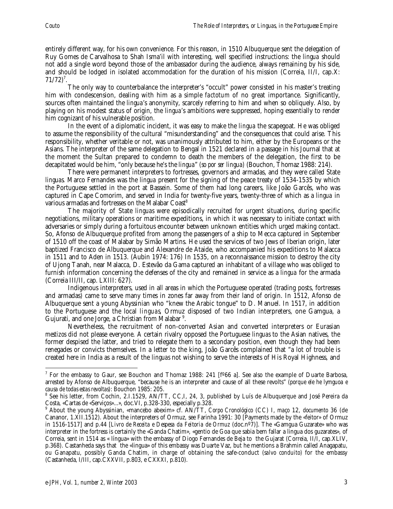entirely different way, for his own convenience. For this reason, in 1510 Albuquerque sent the delegation of Ruy Gomes de Carvalhosa to Shah Isma'il with interesting, well specified instructions: the *lingua* should not add a single word beyond those of the ambassador during the audience, always remaining by his side, and should be lodged in isolated accommodation for the duration of his mission (Correia, II/I, cap.X:  $71/72$ <sup>7</sup>.

The only way to counterbalance the interpreter's "occult" power consisted in his master's treating him with condescension, dealing with him as a simple *factotum* of no great importance. Significantly, sources often maintained the *lingua*'s anonymity, scarcely referring to him and when so obliquely. Also, by playing on his modest status of origin, the *lingua*'s ambitions were suppressed, hoping essentially to render him cognizant of his vulnerable position.

In the event of a diplomatic incident, it was easy to make the *lingua* the scapegoat. He was obliged to assume the responsibility of the cultural "misunderstanding" and the consequences that could arise. This responsibility, whether veritable or not, was unanimously attributed to him, either by the Europeans or the Asians. The interpreter of the same delegation to Bengal in 1521 declared in a passage in his Journal that at the moment the Sultan prepared to condemn to death the members of the delegation, the first to be decapitated would be him, "only because he's the *lingua*" *(so por ser lingua)* (Bouchon, Thomaz 1988: 214).

There were permanent interpreters to fortresses, governors and armadas, and they were called State *linguas.* Marco Fernandes was the *lingua* present for the signing of the peace treaty of 1534-1535 by which the Portuguese settled in the port at Bassein. Some of them had long careers, like João Garcês, who was captured in Cape Comorim, and served in India for twenty-five years, twenty-three of which as a *lingua* in various armadas and fortresses on the Malabar Coast<sup>8</sup>

The majority of State *linguas* were episodically recruited for urgent situations, during specific negotiations, military operations or maritime expeditions, in which it was necessary to initiate contact with adversaries or simply during a fortuitous encounter between unknown entities which urged making contact. So, Afonso de Albuquerque profited from among the passengers of a ship to Mecca captured in September of 1510 off the coast of Malabar by Simão Martins. He used the services of two Jews of Iberian origin, later baptized Francisco de Albuquerque and Alexandre de Ataide, who accompanied his expeditions to Malacca in 1511 and to Aden in 1513. (Aubin 1974: 176) In 1535, on a reconnaissance mission to destroy the city of Ujong Tanah, near Malacca, D. Estevão da Gama captured an inhabitant of a village who was obliged to furnish information concerning the defenses of the city and remained in service as a *lingua* for the armada (Correia III/II, cap. LXIII: 627).

Indigenous interpreters, used in all areas in which the Portuguese operated (trading posts, fortresses and armadas) came to serve many times in zones far away from their land of origin. In 1512, Afonso de Albuquerque sent a young Abyssinian who "knew the Arabic tongue" to D. Manuel. In 1517, in addition to the Portuguese and the local *linguas*, Ormuz disposed of two Indian interpreters, one Gamgua, a Gujurati, and one Jorge, a Christian from Malabar <sup>9</sup>.

Nevertheless, the recruitment of non-converted Asian and converted interpreters or Eurasian *mestizos* did not please everyone. A certain rivalry opposed the Portuguese *linguas* to the Asian natives, the former despised the latter, and tried to relegate them to a secondary position, even though they had been renegades or convicts themselves. In a letter to the king, João Garcês complained that "a lot of trouble is created here in India as a result of the *linguas* not wishing to serve the interests of His Royal Highness, and

 $\overline{a}$  $^7$  For the embassy to Gaur, see Bouchon and Thomaz 1988: 241 [f $^{\rm o}$ 66 a]. See also the example of Duarte Barbosa, arrested by Afonso de Albuquerque, "because he is an interpreter and cause of all these revolts" (*porque ele he lymguoa e causa de todas estas revoltas)*: Bouchon 1985: 205. <sup>8</sup>

See his letter, from Cochin, 2.I.1529, AN/TT, CC,I, 24, 3, published by Luís de Albuquerque and José Pereira da Costa, «Cartas de «Serviços»...», doc.VI, p.328-330, especially p.328.

<sup>9</sup> About the young Abyssinian, «mancebo abexim» cf. AN/TT, *Corpo Cronológico* (CC) I, *maço* 12, *documento* 36 (de Cananor, 1.XII.1512). About the interpreters of Ormuz, see Farinha 1991: 30 [Payments made by the «feitor» of Ormuz in 1516-1517] and p.44 [*Livro de Receita e Despesa da Feitoria de Ormuz* (doc.nº7)]. The «Gamgua Guzarate» who was interpreter in the fortress is certainly the «Ganda Chatim», «gentio de Goa que sabia bem fallar a lingua dos guzarates», of Correia, sent in 1514 as « língua» with the embassy of Diogo Fernandes de Beja to the Gujarat (Correia, II/I, cap.XLIV, p.368). Castanheda says that the «lingua» of this embassy was Duarte Vaz, but he mentions a Brahmin called Anagapatu, ou Ganapatu, possibly Ganda Chatim, in charge of obtaining the safe-conduct (*salvo conduito)* for the embassy (Castanheda, I/III, cap.CXXVII, p.803, e CXXXI, p.810).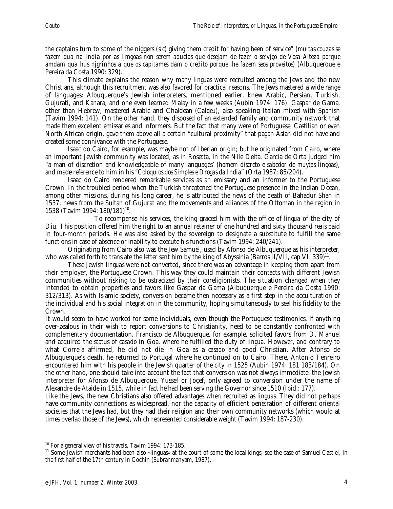the captains turn to some of the niggers *(sic)* giving them credit for having been of service" *(muitas couzas se fazem qua na Jndia por as ljmgoas non serem aquelas que desejam de fazer o servjço de Vosa Alteza porque amdam qua hus njgrinhos a que os capitames dam o credito porque lhe fazem seos proveitos)* (Albuquerque e Pereira da Costa 1990: 329).

This climate explains the reason why many *linguas* were recruited among the Jews and the new Christians, although this recruitment was also favored for practical reasons. The Jews mastered a wide range of languages: Albuquerque's Jewish interpreters, mentioned earlier, knew Arabic, Persian, Turkish, Gujurati, and Kanara, and one even learned Malay in a few weeks (Aubin 1974: 176). Gaspar de Gama, other than Hebrew, mastered Arabic and Chaldean *(Caldeu)*, also speaking Italian mixed with Spanish (Tavim 1994: 141). On the other hand, they disposed of an extended family and community network that made them excellent emissaries and informers. But the fact that many were of Portuguese, Castilian or even North African origin, gave them above all a certain "cultural proximity" that pagan Asian did not have and created some connivance with the Portuguese.

Isaac do Cairo, for example, was maybe not of Iberian origin; but he originated from Cairo, where an important Jewish community was located, as in Rosetta, in the Nile Delta. Garcia de Orta judged him "a man of discretion and knowledgeable of many languages' *(homem discreto e sabedor de muytas lingoas)*, and made reference to him in his *"Coloquios dos Simples e Drogas da India*" (Orta 1987: 85/204).

Isaac do Cairo rendered remarkable services as an emissary and an informer to the Portuguese Crown. In the troubled period when the Turkish threatened the Portuguese presence in the Indian Ocean, among other missions, during his long career, he is attributed the news of the death of Bahadur Shah in 1537, news from the Sultan of Gujurat and the movements and alliances of the Ottoman in the region in 1538 (Tavim 1994: 180/181)<sup>10</sup>.

To recompense his services, the king graced him with the office of *lingua* of the city of Diu. This position offered him the right to an annual retainer of one hundred and sixty thousand *reais* paid in four-month periods. He was also asked by the sovereign to designate a substitute to fulfill the same functions in case of absence or inability to execute his functions (Tavim 1994: 240/241).

Originating from Cairo also was the Jew Samuel, used by Afonso de Albuquerque as his interpreter, who was called forth to translate the letter sent him by the king of Abyssinia (Barros II/VII, cap.VI: 339)<sup>11</sup>.

These Jewish *linguas* were not converted, since there was an advantage in keeping them apart from their employer, the Portuguese Crown. This way they could maintain their contacts with different Jewish communities without risking to be ostracized by their coreligionists. The situation changed when they intended to obtain properties and favors like Gaspar da Gama (Albuquerque e Pereira da Costa 1990: 312/313). As with Islamic society, conversion became then necessary as a first step in the acculturation of the individual and his social integration in the community, hoping simultaneously to seal his fidelity to the Crown.

It would seem to have worked for some individuals, even though the Portuguese testimonies, if anything over-zealous in their wish to report conversions to Christianity, need to be constantly confronted with complementary documentation. Francisco de Albuquerque, for example, solicited favors from D. Manuel and acquired the status of *casado* in Goa, where he fulfilled the duty of *lingua*. However, and contrary to what Correia affirmed, he did not die in Goa as a *casado* and good Christian. After Afonso de Albuquerque's death, he returned to Portugal where he continued on to Cairo. There, Antonio Tenreiro encountered him with his people in the Jewish quarter of the city in 1525 (Aubin 1974: 181 183/184). On the other hand, one should take into account the fact that conversion was not always immediate: the Jewish interpreter for Afonso de Albuquerque, Yussef or Joçef, only agreed to conversion under the name of Alexandre de Ataide in 1515, while in fact he had been serving the Governor since 1510 (Ibid.: 177).

Like the Jews, the new Christians also offered advantages when recruited as *linguas.* They did not perhaps have community connections as widespread, nor the capacity of efficient penetration of different oriental societies that the Jews had, but they had their religion and their own community networks (which would at times overlap those of the Jews), which represented considerable weight (Tavim 1994: 187-230).

 $\overline{a}$ <sup>10</sup> For a general view of his travels, Tavim 1994: 173-185.

<sup>&</sup>lt;sup>11</sup> Some Jewish merchants had been also «linguas» at the court of some the local kings; see the case of Samuel Castiel, in the first half of the 17th century in Cochin (Subrahmanyam, 1987).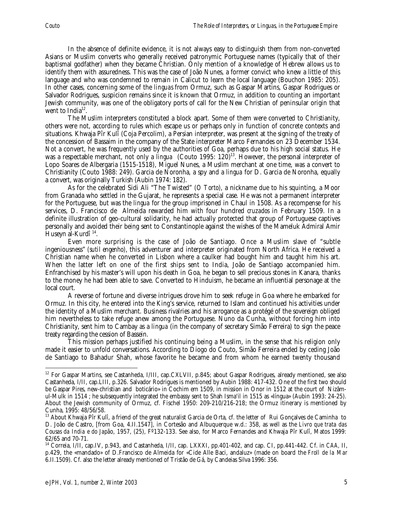In the absence of definite evidence, it is not always easy to distinguish them from non-converted Asians or Muslim converts who generally received patronymic Portuguese names (typically that of their baptismal godfather) when they became Christian. Only mention of a knowledge of Hebrew allows us to identify them with assuredness. This was the case of João Nunes, a former convict who knew a little of this language and who was condemned to remain in Calicut to learn the local language (Bouchon 1985: 205). In other cases, concerning some of the *linguas* from Ormuz, such as Gaspar Martins, Gaspar Rodrigues or Salvador Rodrigues, suspicion remains since it is known that Ormuz, in addition to counting an important Jewish community, was one of the obligatory ports of call for the New Christian of peninsular origin that went to India<sup>12</sup>.

The Muslim interpreters constituted a block apart. Some of them were converted to Christianity, others were not, according to rules which escape us or perhaps only in function of concrete contexts and situations. Khwaja Pîr Kulî (Coja Percolim), a Persian interpreter, was present at the signing of the treaty of the concession of Bassaim in the company of the State interpreter Marco Fernandes on 23 December 1534. Not a convert, he was frequently used by the authorities of Goa, perhaps due to his high social status. He was a respectable merchant, not only a *lingua* (Couto 1995: 120<sup>)13</sup>. However, the personal interpreter of Lopo Soares de Albergaria (1515-1518), Miguel Nunes, a Muslim merchant at one time, was a convert to Christianity (Couto 1988: 249). Garcia de Noronha, a spy and a *lingua* for D. Garcia de Noronha, equally a convert, was originally Turkish (Aubin 1974: 182).

As for the celebrated Sidi Ali "The Twisted" *(O Torto)*, a nickname due to his squinting, a Moor from Granada who settled in the Gujarat, he represents a special case. He was not a permanent interpreter for the Portuguese, but was the *lingua* for the group imprisoned in Chaul in 1508. As a recompense for his services, D. Francisco de Almeida rewarded him with four hundred *cruzados* in February 1509. In a definite illustration of geo-cultural solidarity, he had actually protected that group of Portuguese captives personally and avoided their being sent to Constantinople against the wishes of the Mameluk Admiral Amir Huseyn al-Kurdî 14.

Even more surprising is the case of João de Santiago. Once a Muslim slave of "subtle ingeniousness" *(sutil engenho)*, this adventurer and interpreter originated from North Africa. He received a Christian name when he converted in Lisbon where a caulker had bought him and taught him his art. When the latter left on one of the first ships sent to India, João de Santiago accompanied him. Enfranchised by his master's will upon his death in Goa, he began to sell precious stones in Kanara, thanks to the money he had been able to save. Converted to Hinduism, he became an influential personage at the local court.

A reverse of fortune and diverse intrigues drove him to seek refuge in Goa where he embarked for Ormuz. In this city, he entered into the King's service, returned to Islam and continued his activities under the identity of a Muslim merchant. Business rivalries and his arrogance as a protégé of the sovereign obliged him nevertheless to take refuge anew among the Portuguese. Nuno da Cunha, without forcing him into Christianity, sent him to Cambay as a *lingua* (in the company of secretary Simão Ferreira) to sign the peace treaty regarding the cession of Bassein.

This mission perhaps justified his continuing being a Muslim, in the sense that his religion only made it easier to unfold conversations. According to Diogo do Couto, Simão Ferreira ended by ceding João de Santiago to Bahadur Shah, whose favorite he became and from whom he earned twenty thousand

 $\overline{a}$ <sup>12</sup> For Gaspar Martins, see Castanheda, I/III, cap.CXLVII, p.845; about Gaspar Rodrigues, already mentioned, see also Castanheda, I/II, cap.LIII, p.326. Salvador Rodrigues is mentioned by Aubin 1988: 417-432. One of the first two should be Gaspar Pires, new-christian and boticário» in Cochim em 1509, in mission in Onor in 1512 at the court of Nizâmul-Mulk in 1514 ; he subsequently integrated the embassy sent to Shah Isma'il in 1515 as «língua» (Aubin 1993: 24-25). About the Jewish community of Ormuz, cf. Fischel 1950: 209-210/216-218; the Ormuz itinerary is mentioned by Cunha, 1995: 48/56/58.

<sup>&</sup>lt;sup>13</sup> About Khwaja Pîr Kulî, a friend of the great naturalist Garcia de Orta, cf. the letter of Rui Gonçalves de Caminha to D. João de Castro, [from Goa, 4.II.1547], in Cortesão and Albuquerque w.d.: 358, as well as the *Livro que trata das Cousas da India e do Japã*o, 1957, (25), Fº132-133. See also, for Marco Fernandes and Khwaja Pîr Kulî, Matos 1999: 62/65 and 70-71.

<sup>14</sup> Correia, I/II, cap.IV, p.943, and Castanheda, I/II, cap. LXXXI, pp.401-402, and cap. CI, pp.441-442. Cf. in *CAA,* II, p.429, the «mandado» of D.Francisco de Almeida for «Cide Alle Baci, andaluz» (made on board the *Froll de la Mar* 6.II.1509). Cf. also the letter already mentioned of Tristão de Gá, by Candeias Silva 1996: 356.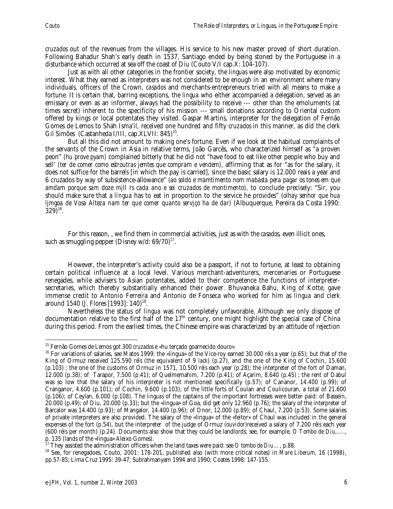*cruzados* out of the revenues from the villages. His service to his new master proved of short duration. Following Bahadur Shah's early death in 1537, Santiago ended by being stoned by the Portuguese in a disturbance which occurred at sea off the coast of Diu (Couto V/I cap.X: 104-107).

Just as with all other categories in the frontier society, the *linguas* were also motivated by economic interest. What they earned as interpreters was not considered to be enough in an environment where many individuals, officers of the Crown, *casados* and merchants-entrepreneurs tried with all means to make a fortune. It is certain that, barring exceptions, the *lingua* who either accompanied a delegation, served as an emissary or even as an informer, always had the possibility to receive --- other than the emoluments (at times secret) inherent to the specificity of his mission --- small donations according to Oriental custom offered by kings or local potentates they visited. Gaspar Martins, interpreter for the delegation of Fernão Gomes de Lemos to Shah Isma'il, received one hundred and fifty *cruzados* in this manner*,* as did the clerk Gil Simões (Castanheda I/III, cap.XLVII: 845)<sup>15</sup>.

But all this did not amount to making one's fortune. Even if we look at the habitual complaints of the servants of the Crown in Asia in relative terms, João Garcês, who characterized himself as "a proven peon" (*hu prove pyam)* complained bitterly that he did not "have food to eat like other people who buy and sell' *(ter de comer como estroutras jemtes que compram e vendem),* affirming that as for "as for the salary, it does not suffice for the barrels [in which the pay is carried], since the basic salary is 12.000 reais a year and 6 cruzados by way of subsistence-allowance" (*ao soldo e mamtimento nom mabasta pera pagar os tones em que amdam porque sam doze mjll rs cada ano e sei cruzados de montimento),* to conclude precisely: "Sir, you should make sure that a *lingua* has to eat in proportion to the service he provides" (*olhay senhor que hua ljmgoa de Vosa Alteza nam ter que comer quanto servjço ha de dar)* (Albuquerque, Pereira da Costa 1990:  $(329)^{16}$ .

For this reason, , we find them in commercial activities, just as with the *casados,* even illicit ones, such as smuggling pepper (Disney w/d:  $69/70$ )<sup>17</sup>.

However, the interpreter's activity could also be a passport, if not to fortune, at least to obtaining certain political influence at a local level. Various merchant-adventurers, mercenaries or Portuguese renegades, while advisers to Asian potentates, added to their competence the functions of interpretersecretaries, which thereby substantially enhanced their power. Bhuvaneka Bahu, King of Kotte, gave immense credit to Antonio Ferreira and Antonio de Fonseca who worked for him as *lingua* and clerk around 1540 (J. Flores [1993]: 140)<sup>18</sup>.

Nevertheless the status of *lingua* was not completely unfavorable. Although we only dispose of documentation relative to the first half of the 17<sup>th</sup> century, one might highlight the special case of China during this period. From the earliest times, the Chinese empire was characterized by an attitude of rejection

<sup>&</sup>lt;sup>15</sup> Fernão Gomes de Lemos got 300 cruzados e «hu terçado goarnecido douro».

<sup>&</sup>lt;sup>16</sup> For variations of salaries, see Matos 1999: the «lingua» of the Vice-roy earned 30.000 *réis* a year (p.65); but that of the King of Ormuz received 125.590 *réis* (the equivalent of 9 *lack*) (p.27), and the one of the King of Cochin, 15.600 (p.103) ; the one of the customs of Ormuz in 1571, 10.500 *réis* each year (p.28); the interpreter of the fort of Daman, 12.000 (p.38); of Tarapor, 7.500 (p.41); of Quelmemahim, 7.200 (p.41); of Açarim, 8.640 (p.45) ; the rent of Dabul was so low that the salary of his interpreter is not mentioned specifically (p.57); of Cananor, 14.400 (p.99); of Cranganor, 4.600 (p.101); of Cochin, 9.600 (p.103); of the little forts of Coulan and Coulicouran, a total of 21.600 (p.106); of Ceylan, 6.000 (p.108). The *linguas* of the captains of the important fortresses were better paid: of Bassein,  $20.000$  (p.49); of Diu, 20.000 (p.33); but the «lingua» of Goa, did get only 12.960 (p.76); the salary of the interpreter of Barcalor was 14.400 (p.93); of Mangalor, 14.400 (p.96); of Onor, 12.000 (p.89); of Chaul, 7.200 (p.53). Some salaries of private interpreters are also provided. The salary of the «lingua» of the «feitor» of Chaul was included in the general expenses of the fort (p.54), but the interpreter of the judge of Ormuz (*ouvidor)*received a salary of 7.200 réis each year (600 réis per month) (p.24). Documents also show that they could be landlords: see, for example, *O Tombo de Diu,*…., p. 135 (lands of the «lingua» Aleixo Gomes).<br><sup>17</sup> They assisted the administration officers when the land taxes were paid: see *O tombo de Diu*..., p.88.

<sup>&</sup>lt;sup>18</sup> See, for renegadoes, Couto, 2001: 178-201, published also (with more critical notes) in Mare Liberum, 16 (1998), pp.57-85; Lima Cruz 1995: 39-47; Subrahmanyam 1994 and 1990; Coates 1998: 147-155.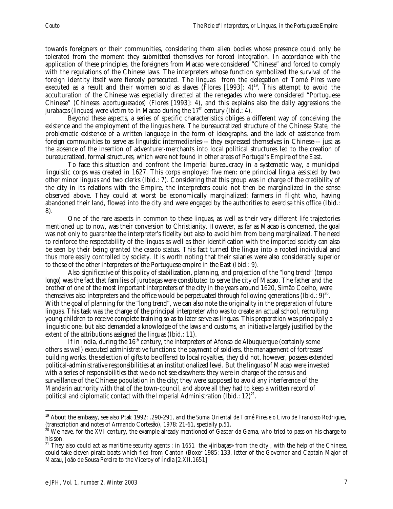towards foreigners or their communities, considering them alien bodies whose presence could only be tolerated from the moment they submitted themselves for forced integration. In accordance with the application of these principles, the foreigners from Macao were considered "Chinese" and forced to comply with the regulations of the Chinese laws. The interpreters whose function symbolized the survival of the foreign identity itself were fiercely persecuted. The *linguas* from the delegation of Tomé Pires were executed as a result and their women sold as slaves (Flores [1993]:  $4$ )<sup>19</sup>. This attempt to avoid the acculturation of the Chinese was especially directed at the renegades who were considered "Portuguese Chinese" *(Chineses aportuguesados)* (Flores [1993]: 4), and this explains also the daily aggressions the *jurabaças (linguas)* were victim to in Macao during the 17<sup>th</sup> century (Ibid.: 4).

Beyond these aspects, a series of specific characteristics obliges a different way of conceiving the existence and the employment of the *linguas* here. The bureaucratized structure of the Chinese State, the problematic existence of a written language in the form of ideographs, and the lack of assistance from foreign communities to serve as linguistic intermediaries--- they expressed themselves in Chinese--- just as the absence of the insertion of adventurer-merchants into local political structures led to the creation of bureaucratized, formal structures, which were not found in other areas of Portugal's Empire of the East.

To face this situation and confront the Imperial bureaucracy in a systematic way, a municipal linguistic corps was created in 1627. This corps employed five men: one principal *lingua* assisted by two other minor *linguas* and two clerks (Ibid.: 7). Considering that this group was in charge of the credibility of the city in its relations with the Empire, the interpreters could not then be marginalized in the sense observed above. They could at worst be economically marginalized: farmers in flight who, having abandoned their land, flowed into the city and were engaged by the authorities to exercise this office (Ibid.: 8).

One of the rare aspects in common to these *linguas,* as well as their very different life trajectories mentioned up to now, was their conversion to Christianity. However, as far as Macao is concerned, the goal was not only to guarantee the interpreter's fidelity but also to avoid him from being marginalized. The need to reinforce the respectability of the *linguas* as well as their identification with the imported society can also be seen by their being granted the *casado* status. This fact turned the *lingua* into a rooted individual and thus more easily controlled by society. It is worth noting that their salaries were also considerably superior to those of the other interpreters of the Portuguese empire in the East (Ibid.: 9).

Also significative of this policy of stabilization, planning, and projection of the "long trend" *(tempo longo)* was the fact that families of *jurubaças* were constituted to serve the city of Macao. The father and the brother of one of the most important interpreters of the city in the years around 1620, Simão Coelho, were themselves also interpreters and the office would be perpetuated through following generations (Ibid.:  $9)^{20}$ . With the goal of planning for the "long trend", we can also note the originality in the preparation of future *linguas.* This task was the charge of the principal interpreter who was to create an actual school, recruiting young children to receive complete training so as to later serve as *linguas.* This preparation was principally a linguistic one, but also demanded a knowledge of the laws and customs, an initiative largely justified by the extent of the attributions assigned the *linguas* (Ibid.: 11).

If in India, during the  $16<sup>th</sup>$  century, the interpreters of Afonso de Albuquerque (certainly some others as well) executed administrative functions: the payment of soldiers, the management of fortresses' building works, the selection of gifts to be offered to local royalties, they did not, however, possess extended political-administrative responsibilities at an institutionalized level. But the *linguas* of Macao were invested with a series of responsibilities that we do not see elsewhere: they were in charge of the census and surveillance of the Chinese population in the city; they were supposed to avoid any interference of the Mandarin authority with that of the town-council, and above all they had to keep a written record of political and diplomatic contact with the Imperial Administration (Ibid.: 12)<sup>21</sup>.

 $\overline{a}$ 19 About the embassy, see also Ptak 1992: .290-291, and the *Suma Oriental de Tomé Pires e o Livro de Francisco Rodrigues,* (transcription and notes of Armando Cortesão), 1978: 21-61, specially p.51.

 $^{20}$  We have, for the XVI century, the example already mentioned of Gaspar da Gama, who tried to pass on his charge to his son.

<sup>&</sup>lt;sup>21</sup> They also could act as maritime security agents : in 1651 the «jiribaças» from the city, with the help of the Chinese, could take eleven pirate boats which fled from Canton (Boxer 1985: 133, letter of the Governor and Captain Major of Macau, João de Sousa Pereira to the Viceroy of Índia [2.XII.1651]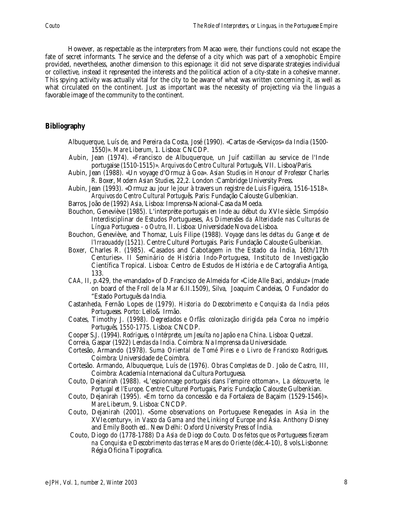However, as respectable as the interpreters from Macao were, their functions could not escape the fate of secret informants. The service and the defense of a city which was part of a xenophobic Empire provided, nevertheless, another dimension to this espionage: it did not serve disparate strategies individual or collective, instead it represented the interests and the political action of a city-state in a cohesive manner. This spying activity was actually vital for the city to be aware of what was written concerning it, as well as what circulated on the continent. Just as important was the necessity of projecting via the *linguas* a favorable image of the community to the continent.

## **Bibliography**

- Albuquerque, Luís de, and Pereira da Costa, José (1990). «Cartas de «Serviços» da India (1500- 1550)». *Mare Liberum,* 1. Lisboa: CNCDP.
- Aubin, Jean (1974). «Francisco de Albuquerque, un Juif castillan au service de l'Inde portugaise (1510-1515)». *Arquivos do Centro Cultural Português*, VII. Lisboa/Paris.
- Aubin, Jean (1988). «Un voyage d'Ormuz à Goa». *Asian Studies in Honour of Professor Charles R. Boxe*r, *Modern Asian Studies,* 22,2. London :Cambridge University Press.
- Aubin, Jean (1993). «Ormuz au jour le jour à travers un registre de Luis Figueira, 1516-1518». *Arquivos do Centro Cultural Português*. Paris: Fundação Calouste Gulbenkian.
- Barros, João de (1992) *Asia*, Lisboa: Imprensa-Nacional-Casa da Moeda.
- Bouchon, Geneviève (1985). L'interprète portugais en Inde au début du XVIe siècle. Simpósio Interdisciplinar de Estudos Portugueses, *As Dimensões da Alteridade nas Culturas de Língua Portuguesa - o Outro*, II. Lisboa: Universidade Nova de Lisboa.
- Bouchon, Geneviève, and Thomaz, Luís Filipe (1988). *Voyage dans les deltas du Gange et de l'Irraouaddy (1521).* Centre Culturel Portugais. Paris: Fundação Calouste Gulbenkian.
- Boxer, Charles R. (1985). «Casados and Cabotagem in the Estado da Índia, 16th/17th Centuries». *II Seminário de História Indo-Portuguesa*, Instituto de Investigação Científica Tropical. Lisboa: Centro de Estudos de História e de Cartografia Antiga, 133.
- *CAA,* II, p.429, the «mandado» of D.Francisco de Almeida for «Cide Alle Baci, andaluz» (made on board of the *Froll de la Mar* 6.II.1509), Silva, Joaquim Candeias, O Fundador do "Estado Português da India.
- Castanheda, Fernão Lopes de (1979). *Historia do Descobrimento e Conquista da India pelos Portugueses.* Porto: Lello& Irmão.
- Coates, Timothy J. (1998). *Degredados e Orfãs: colonização dirigida pela Coroa no império Português, 1550-1775.* Lisboa: CNCDP.
- Cooper S.J. (1994). *Rodrigues, o Intérprete, um Jesuíta no Japão e na China*. Lisboa: Quetzal.
- Correia, Gaspar (1922) *Lendas da India*. Coimbra: Na Imprensa da Universidade.
- Cortesão, Armando (1978). *Suma Oriental de Tomé Pires e o Livro de Francisco Rodrigues.* Coimbra: Universidade de Coimbra.
- Cortesão. Armando, Albuquerque, Luís de (1976). *Obras Completas de D. João de Castro*, III, Coimbra: Academia Internacional da Cultura Portuguesa.
- Couto, Dejanirah (1988). «L'espionnage portugais dans l'empire ottoman*», La découverte, le Portugal et l'Europe*. Centre Culturel Portugais, Paris: Fundação Calouste Gulbenkian.
- Couto, Dejanirah (1995). «Em torno da concessão e da Fortaleza de Baçaim (1529-1546)». *Mare Liberum,* 9. Lisboa: CNCDP.
- Couto, Dejanirah (2001). «Some observations on Portuguese Renegades in Asia in the XVIe.century», in *Vasco da Gama and the Linking of Europe and Ásia*. Anthony Disney and Emily Booth ed.. New Delhi: Oxford University Press of Índia.
- Couto, Diogo do (1778-1788) *Da Asia de Diogo do Couto. Dos feitos que os Portugueses fizeram na Conquista e Descobrimento das terras e Mares do Oriente* (déc.4-10), 8 vols.Lisbonne: Régia Oficina Tipografica.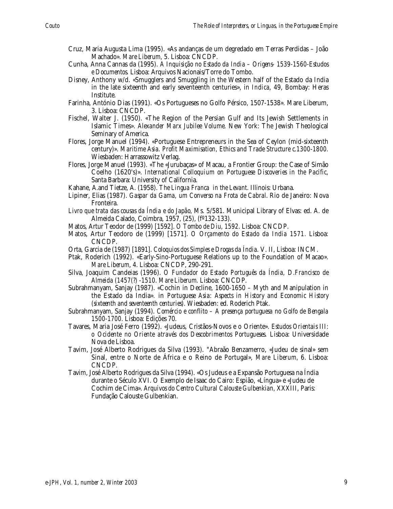- Cruz, Maria Augusta Lima (1995). «As andanças de um degredado em Terras Perdidas João Machado». *Mare Liberum,* 5. Lisboa: CNCDP.
- Cunha, Anna Cannas da (1995). *A Inquisição no Estado da India Origens- 1539-1560-Estudos e Documentos.* Lisboa: Arquivos Nacionais/Torre do Tombo.
- Disney, Anthony w/d. «Smugglers and Smuggling in the Western half of the Estado da India in the late sixteenth and early seventeenth centuries», in *Indica*, 49, Bombay: Heras Institute.
- Farinha, António Dias (1991). «Os Portugueses no Golfo Pérsico, 1507-1538». Mare Liberum, 3. Lisboa: CNCDP.
- Fischel, Walter J. (1950). «The Region of the Persian Gulf and Its Jewish Settlements in Islamic Times». *Alexander Marx Jubilee Volume*. New York: The Jewish Theological Seminary of America.
- Flores, Jorge Manuel (1994). «Portuguese Entrepreneurs in the Sea of Ceylon (mid-sixteenth century)». *Maritime Asia. Profit Maximisation, Ethics and Trade Structure c.1300-1800.* Wiesbaden: Harrassowitz Verlag.
- Flores, Jorge Manuel (1993). «The «Jurubaças» of Macau, a Frontier Group: the Case of Simão Coelho (1620's)». *International Colloquium on Portuguese Discoveries in the Pacific*, Santa Barbara: University of California.
- Kahane, A.and Tietze, A. (1958). *The Lingua Franca in the Levant*. Illinois: Urbana.
- Lipiner, Elias (1987). *Gaspar da Gama, um Converso na Frota de Cabral*. Rio de Janeiro: Nova Fronteira.
- *Livro que trata das cousas da Índia e do Japão,* Ms. 5/581. Municipal Library of Elvas: ed. A. de Almeida Calado, Coimbra, 1957, (25), (fº132-133).
- Matos, Artur Teodor de (1999) [1592]. *O Tombo de Diu, 1592*. Lisboa: CNCDP.
- Matos, Artur Teodoro de (1999) [1571]. *O Orçamento do Estado da India 1571.* Lisboa: CNCDP.
- Orta, Garcia de (1987) [1891]. *Coloquios dos Simples e Drogas da Índia.* V. II, Lisboa: INCM.
- Ptak, Roderich (1992). «Early-Sino-Portuguese Relations up to the Foundation of Macao». *Mare Liberum*, 4. Lisboa: CNCDP, 290-291.
- Silva, Joaquim Candeias (1996). *O Fundador do Estado Português da Índia, D.Francisco de Almeida (1457(?) -1510*. *Mare Liberum*. Lisboa: CNCDP.
- Subrahmanyam, Sanjay (1987). «Cochin in Decline, 1600-1650 Myth and Manipulation in the Estado da India». in *Portuguese Asia: Aspects in History and Economic History (sixteenth and seventeenth centuries).* Wiesbaden: ed. Roderich Ptak.
- Subrahmanyam, Sanjay (1994). *Comércio e conflito A presença portuguesa no Golfo de Bengala 1500-1700.* Lisboa: Edições 70.
- Tavares, Maria José Ferro (1992). «Judeus, Cristãos-Novos e o Oriente». *Estudos Orientais III: o Ocidente no Oriente através dos Descobrimentos Portugueses.* Lisboa: Universidade Nova de Lisboa.
- Tavim, José Alberto Rodrigues da Silva (1993). "Abraão Benzamerro, «Judeu de sinal» sem Sinal, entre o Norte de África e o Reino de Portugal», *Mare Liberum,* 6. Lisboa: CNCDP.
- Tavim, José Alberto Rodrigues da Silva (1994). «Os Judeus e a Expansão Portuguesa na Índia durante o Século XVI. O Exemplo de Isaac do Cairo: Espião, «Língua» e «Judeu de Cochim de Cima». *Arquivos do Centro Cultural Calouste Gulbenkian,* XXXIII, Paris: Fundação Calouste Gulbenkian.